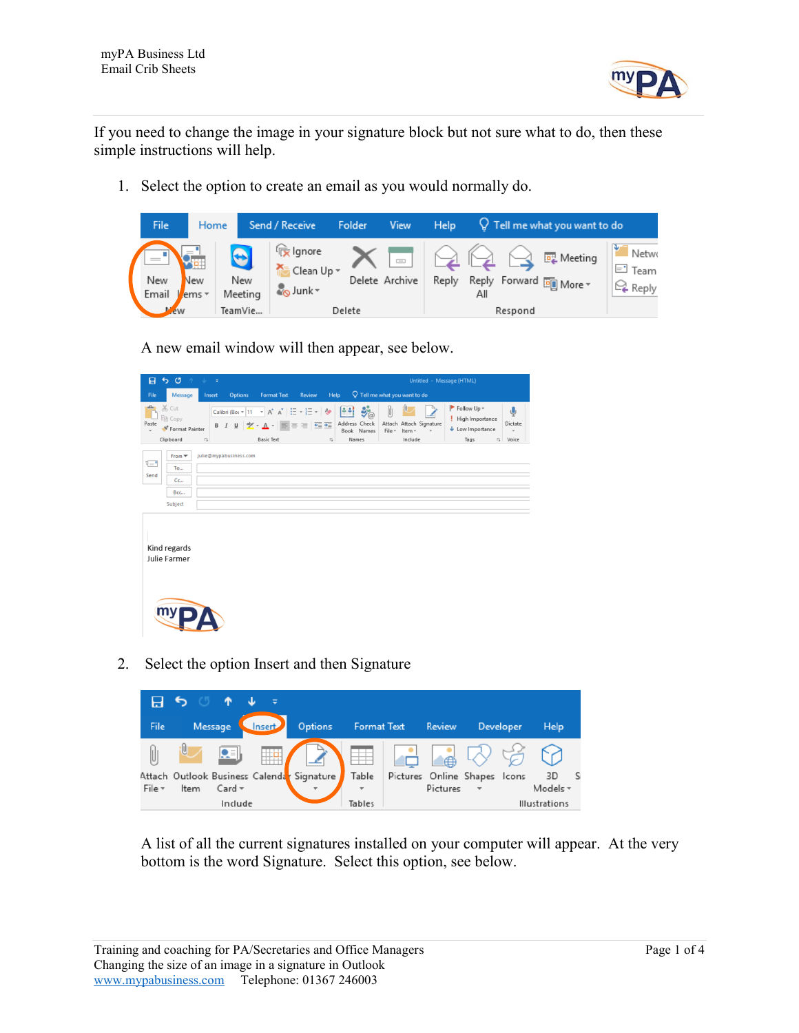

If you need to change the image in your signature block but not sure what to do, then these simple instructions will help.

1. Select the option to create an email as you would normally do.

| File         | Home                |                             | Send / Receive                              | Folder | View                                                 | Help  |     |                 | $Q$ Tell me what you want to do                     |                                                    |
|--------------|---------------------|-----------------------------|---------------------------------------------|--------|------------------------------------------------------|-------|-----|-----------------|-----------------------------------------------------|----------------------------------------------------|
| New<br>Email | <b>New</b><br>ems - | $\bullet$<br>New<br>Meeting | <b>Ex</b> Ignore<br>Clean Up -<br>Mo Junk ▼ |        | $\overline{\phantom{iiiiiiiiiii}}$<br>Delete Archive | Reply | Αll | $\triangleleft$ | <b>EL</b> Meeting<br>Reply Forward <b>ED</b> More ~ | Netwo<br>$\Xi$ <sup>1</sup> Team<br><b>Q</b> Reply |
| ew           |                     | TeamVie                     |                                             | Delete |                                                      |       |     | Respond         |                                                     |                                                    |

A new email window will then appear, see below.

| 日             | 50                                                               | <b>Andrew</b>                  |                                                           |                                                                                                                                                            |                                     |                                                                                      |                                                    | Untitled - Message (HTML)                    |                                                                         |                                                                   |
|---------------|------------------------------------------------------------------|--------------------------------|-----------------------------------------------------------|------------------------------------------------------------------------------------------------------------------------------------------------------------|-------------------------------------|--------------------------------------------------------------------------------------|----------------------------------------------------|----------------------------------------------|-------------------------------------------------------------------------|-------------------------------------------------------------------|
| File          | Message                                                          | Insert                         | <b>Options</b>                                            | <b>Format Text</b>                                                                                                                                         | Review                              | Help                                                                                 |                                                    | $\Omega$ Tell me what you want to do         |                                                                         |                                                                   |
| ட<br>Paste    | $\chi$ Cut<br>h Copy<br><sup>*</sup> Format Painter<br>Clipboard | B<br>$\overline{\mathbb{F}_M}$ | $I \perp \square$ $\frac{a}{2}$ $\sim$ $\triangle$ $\sim$ | Calibri (Boc $\ast$ 11 $\rightarrow$ A <sup>*</sup> A <sup>*</sup> $\left  \frac{12}{12} \div \frac{12}{12} \div \right $<br>$\equiv$<br><b>Basic Text</b> | $\equiv$ $\equiv$ $\equiv$ $\equiv$ | 图<br><b>Age</b><br>Address Check<br>Book Names<br>Names<br>$\overline{\mathbb{F}_M}$ | $\ddot{\mathbf{y}}_{\odot}^{\mathbf{S}}$<br>File - | Attach Attach Signature<br>Item -<br>Include | Follow Up -<br>Ţ<br>High Importance<br>$\bigcup$ Low Importance<br>Tags | ų<br>Dictate<br>$\ddot{}$<br>$\overline{\mathbb{F}_M}$ .<br>Voice |
| $E =$<br>Send | $From \blacktrianglerightToCcBccSubject$                         |                                | julie@mypabusiness.com                                    |                                                                                                                                                            |                                     |                                                                                      |                                                    |                                              |                                                                         |                                                                   |
|               | Kind regards<br>Julie Farmer                                     |                                |                                                           |                                                                                                                                                            |                                     |                                                                                      |                                                    |                                              |                                                                         |                                                                   |
|               | my                                                               |                                |                                                           |                                                                                                                                                            |                                     |                                                                                      |                                                    |                                              |                                                                         |                                                                   |

2. Select the option Insert and then Signature



A list of all the current signatures installed on your computer will appear. At the very bottom is the word Signature. Select this option, see below.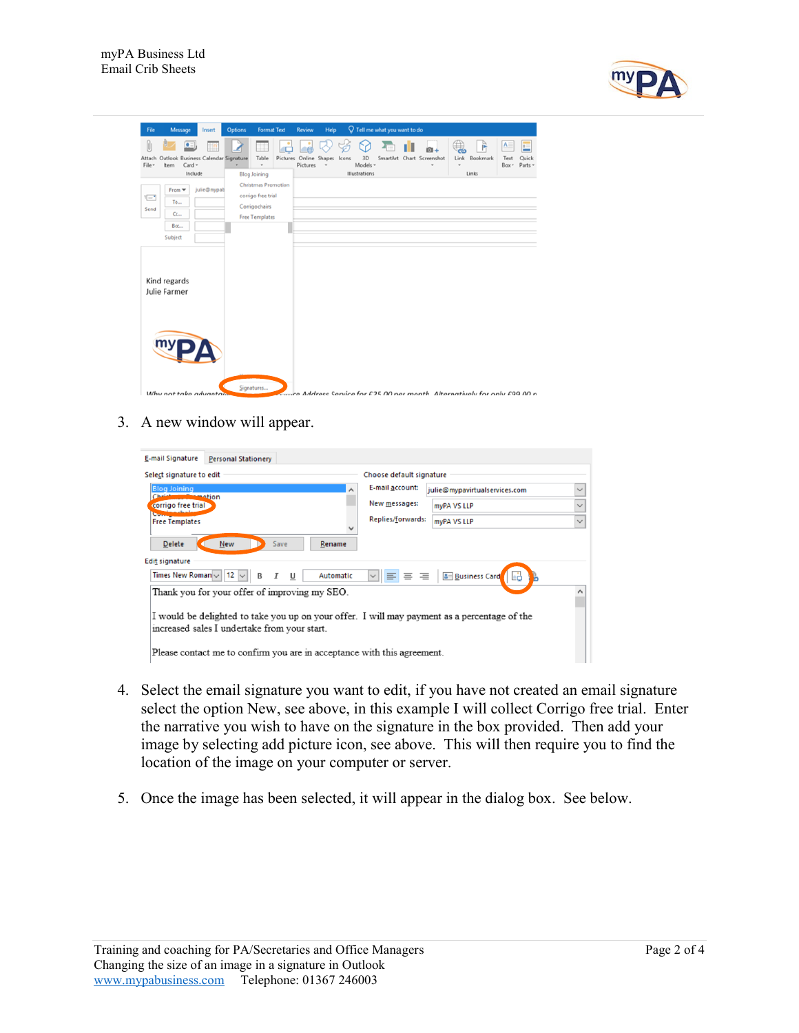

| File                     | Message                                                    | Insert      | <b>Options</b> | <b>Format Text</b>                                                                                                |          | Review   | Help                | Q |                      | Tell me what you want to do |                                                                            |                        |          |                    |                  |
|--------------------------|------------------------------------------------------------|-------------|----------------|-------------------------------------------------------------------------------------------------------------------|----------|----------|---------------------|---|----------------------|-----------------------------|----------------------------------------------------------------------------|------------------------|----------|--------------------|------------------|
| Attach<br>File -         | e<br>Outlook Business Calendar Signature<br>Card -<br>Item |             | ٠              | ₩<br>Table<br>$\scriptstyle\rm w$                                                                                 | Pictures | Pictures | Online Shapes Icons |   | 3D<br>Models -       |                             | SmartArt Chart Screenshot<br>٠                                             | Link<br>$\blacksquare$ | Bookmark | A<br>Text<br>Box - | Quick<br>Parts - |
| $\left[-\right]$<br>Send | Include<br>$From \equivToccBccSubject$                     | julie@mypab |                | <b>Blog Joining</b><br><b>Christmas Promotion</b><br>corrigo free trial<br>Corrigochairs<br><b>Free Templates</b> |          |          |                     |   | <b>Illustrations</b> |                             |                                                                            |                        | Links    |                    |                  |
|                          | Kind regards<br>Julie Farmer                               |             |                |                                                                                                                   |          |          |                     |   |                      |                             |                                                                            |                        |          |                    |                  |
|                          | my<br>Why not take advantage                               |             |                | Signatures                                                                                                        |          |          |                     |   |                      |                             | anne Address Service for £25.00 ner month. Alternatively for only £99.00 n |                        |          |                    |                  |

3. A new window will appear.

| E-mail Signature                                                           | <b>Personal Stationery</b>                                                                                                                   |                                                                    |              |  |  |  |  |  |  |  |
|----------------------------------------------------------------------------|----------------------------------------------------------------------------------------------------------------------------------------------|--------------------------------------------------------------------|--------------|--|--|--|--|--|--|--|
| Select signature to edit                                                   |                                                                                                                                              | Choose default signature                                           |              |  |  |  |  |  |  |  |
| <b>Blog Joining</b>                                                        | ⋏<br><b>Immation</b>                                                                                                                         | E-mail account:<br>julie@mypavirtualservices.com                   | $\checkmark$ |  |  |  |  |  |  |  |
| corrigo free trial                                                         |                                                                                                                                              | New messages:<br>myPA VS LLP                                       | $\checkmark$ |  |  |  |  |  |  |  |
| ь.<br><b>Free Templates</b>                                                |                                                                                                                                              | Replies/forwards:<br>myPA VS LLP                                   | $\checkmark$ |  |  |  |  |  |  |  |
| <b>Delete</b><br><b>Edit signature</b><br>Times New Roman $\vee$ 12 $\vee$ | New<br>Save<br>Rename<br>Automatic<br>U<br>B                                                                                                 | 三<br><b>&amp;</b> Business Card<br>I E I<br>亖<br>$\checkmark$<br>ь |              |  |  |  |  |  |  |  |
|                                                                            | Thank you for your offer of improving my SEO.<br>^                                                                                           |                                                                    |              |  |  |  |  |  |  |  |
|                                                                            | I would be delighted to take you up on your offer. I will may payment as a percentage of the<br>increased sales I undertake from your start. |                                                                    |              |  |  |  |  |  |  |  |
| Please contact me to confirm you are in acceptance with this agreement.    |                                                                                                                                              |                                                                    |              |  |  |  |  |  |  |  |

- 4. Select the email signature you want to edit, if you have not created an email signature select the option New, see above, in this example I will collect Corrigo free trial. Enter the narrative you wish to have on the signature in the box provided. Then add your image by selecting add picture icon, see above. This will then require you to find the location of the image on your computer or server.
- 5. Once the image has been selected, it will appear in the dialog box. See below.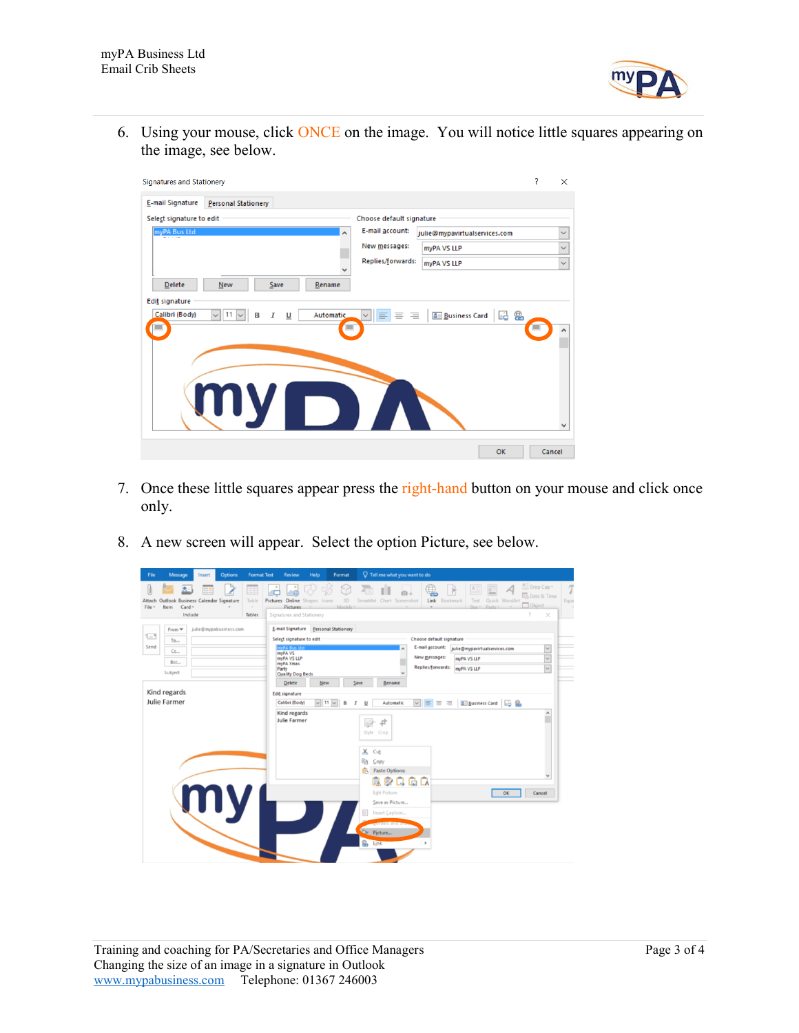

6. Using your mouse, click ONCE on the image. You will notice little squares appearing on the image, see below.



- 7. Once these little squares appear press the right-hand button on your mouse and click once only.
- 8. A new screen will appear. Select the option Picture, see below.

| File<br>Message<br>Insert<br><b>Options</b>                                                                                                                 | $\sqrt{ }$ Tell me what you want to do<br><b>Format Text</b><br><b>Review</b><br>Help<br>Format                                                                                                                                                                                                                                                                                                                                                                                                                                                                                                                                                                                                                                 |                                                                                                       |
|-------------------------------------------------------------------------------------------------------------------------------------------------------------|---------------------------------------------------------------------------------------------------------------------------------------------------------------------------------------------------------------------------------------------------------------------------------------------------------------------------------------------------------------------------------------------------------------------------------------------------------------------------------------------------------------------------------------------------------------------------------------------------------------------------------------------------------------------------------------------------------------------------------|-------------------------------------------------------------------------------------------------------|
| Attach Outlook Business Calendar Signature<br>Table<br>$Card -$<br>Item<br>File -<br>$\sim$<br>Include<br>Tables                                            | <b>F</b><br>₿<br>п<br>Link Bookmark<br>Quick WordArt<br>Pictures Online Shapes Icons<br>3D<br>SmartArt Chart Screenshot<br>Text<br>Box - Parts -<br><b>Pictures</b><br><b>Models</b><br>Signatures and Stationery                                                                                                                                                                                                                                                                                                                                                                                                                                                                                                               | A Drop Cap -<br>T<br><b>Date &amp; Time</b><br>Equa<br>Object<br>$\overline{\mathcal{E}}$<br>$\times$ |
| julie@mypabusiness.com<br>From $\blacktriangledown$<br>$\overline{\mathcal{C}}$<br>To<br>Send<br>Cc<br>Bcc<br>Subject<br>Kind regards<br>Julie Farmer<br>my | E-mail Signature Personal Stationery<br>Choose default signature<br>Select signature to edit<br>E-mail account:<br>vPA Bus Ltd<br>julie@mypavirtualservices.com<br>myPA VS<br>New messages:<br>myPA VS LLP<br>myPA VS LLP<br>myPA Xmas<br>Replies/forwards:<br>myPA VS LLP<br>Party<br><b>Quality Dog Beds</b><br>New<br>Delete<br>Save<br>Rename<br><b>Edit signature</b><br>$\vee$ 11 $\vee$<br>$\vee$ = = =<br>Business Card &<br>Calibri (Body)<br>Automatic<br>U<br>B<br>Kind regards<br>Julie Farmer<br>中<br>Style Crop<br>X<br>Cut<br>晒<br>Copy<br>Iñ.<br><b>Paste Options:</b><br>良良良良良<br><b>Edit Picture</b><br>OK<br>Save as Picture<br>Insert Caption<br>antucts and a<br>P <sub>2</sub> Picture<br>e.<br>Link<br>٠ | $\checkmark$<br>$\check{\phantom{a}}$<br>$\checkmark$<br>$\hat{\phantom{a}}$<br>۰<br>v<br>Cancel      |